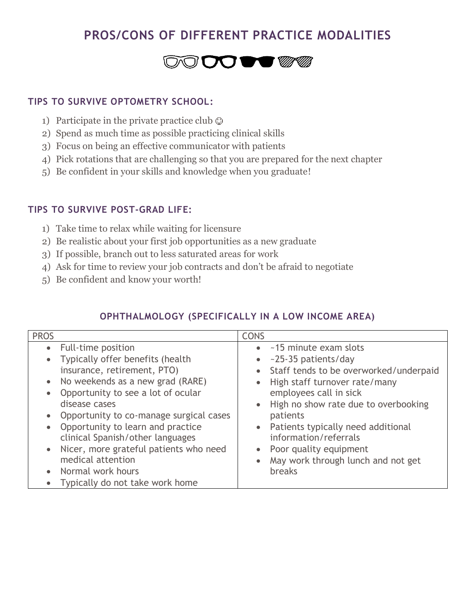# **PROS/CONS OF DIFFERENT PRACTICE MODALITIES**

# **DO DO STATE**

#### **TIPS TO SURVIVE OPTOMETRY SCHOOL:**

- 1) Participate in the private practice club  $\odot$
- 2) Spend as much time as possible practicing clinical skills
- 3) Focus on being an effective communicator with patients
- 4) Pick rotations that are challenging so that you are prepared for the next chapter
- 5) Be confident in your skills and knowledge when you graduate!

#### **TIPS TO SURVIVE POST-GRAD LIFE:**

- 1) Take time to relax while waiting for licensure
- 2) Be realistic about your first job opportunities as a new graduate
- 3) If possible, branch out to less saturated areas for work
- 4) Ask for time to review your job contracts and don't be afraid to negotiate
- 5) Be confident and know your worth!

#### **OPHTHALMOLOGY (SPECIFICALLY IN A LOW INCOME AREA)**

| <b>PROS</b>                                                                                                                                                                                                                             | <b>CONS</b>                                                                                                                                                                                                                                                |
|-----------------------------------------------------------------------------------------------------------------------------------------------------------------------------------------------------------------------------------------|------------------------------------------------------------------------------------------------------------------------------------------------------------------------------------------------------------------------------------------------------------|
| Full-time position<br>$\bullet$<br>Typically offer benefits (health<br>insurance, retirement, PTO)<br>No weekends as a new grad (RARE)<br>Opportunity to see a lot of ocular<br>disease cases                                           | ~15 minute exam slots<br>$\bullet$<br>~25-35 patients/day<br>$\bullet$<br>Staff tends to be overworked/underpaid<br>$\bullet$<br>High staff turnover rate/many<br>$\bullet$<br>employees call in sick<br>High no show rate due to overbooking<br>$\bullet$ |
| Opportunity to co-manage surgical cases<br>Opportunity to learn and practice<br>clinical Spanish/other languages<br>Nicer, more grateful patients who need<br>medical attention<br>Normal work hours<br>Typically do not take work home | patients<br>• Patients typically need additional<br>information/referrals<br>Poor quality equipment<br>$\bullet$<br>May work through lunch and not get<br>$\bullet$<br><b>breaks</b>                                                                       |